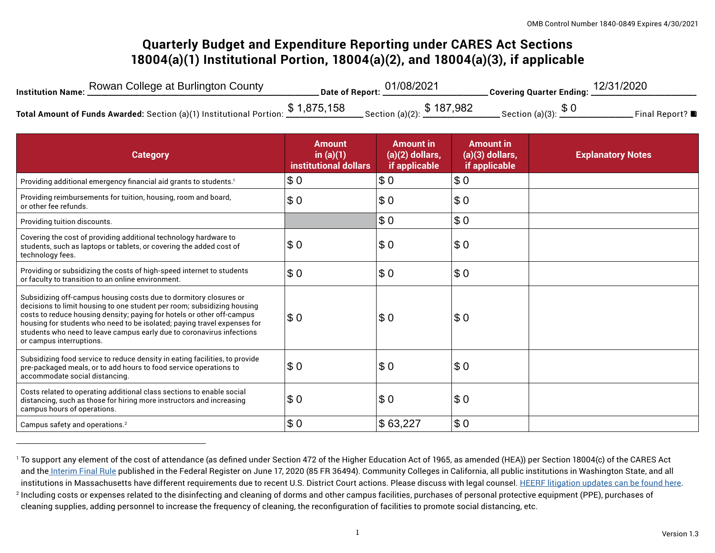# **Quarterly Budget and Expenditure Reporting under CARES Act Sections 18004(a)(1) Institutional Portion, 18004(a)(2), and 18004(a)(3), if applicable**

| Institution Name: Rowan College at Burlington County                              | Date of Report: 01/08/2021                  | Covering Quarter Ending: 12/31/2020 |                              |
|-----------------------------------------------------------------------------------|---------------------------------------------|-------------------------------------|------------------------------|
| Total Amount of Funds Awarded: Section (a)(1) Institutional Portion: $$1,875,158$ | $\_$ Section (a)(2): $\frac{\$~187,982}{~}$ | Section (a)(3): $$0$                | Final Report? $\blacksquare$ |

| <b>Category</b>                                                                                                                                                                                                                                                                                                                                                                                         | <b>Amount</b><br>in $(a)(1)$<br>institutional dollars | <b>Amount in</b><br>$(a)(2)$ dollars,<br>if applicable | <b>Amount</b> in<br>$(a)(3)$ dollars,<br>if applicable | <b>Explanatory Notes</b> |
|---------------------------------------------------------------------------------------------------------------------------------------------------------------------------------------------------------------------------------------------------------------------------------------------------------------------------------------------------------------------------------------------------------|-------------------------------------------------------|--------------------------------------------------------|--------------------------------------------------------|--------------------------|
| Providing additional emergency financial aid grants to students. <sup>1</sup>                                                                                                                                                                                                                                                                                                                           | \$0                                                   | \$0                                                    | \$0                                                    |                          |
| Providing reimbursements for tuition, housing, room and board,<br>or other fee refunds.                                                                                                                                                                                                                                                                                                                 | \$0                                                   | \$0                                                    | \$0                                                    |                          |
| Providing tuition discounts.                                                                                                                                                                                                                                                                                                                                                                            |                                                       | \$0                                                    | \$0                                                    |                          |
| Covering the cost of providing additional technology hardware to<br>students, such as laptops or tablets, or covering the added cost of<br>technology fees.                                                                                                                                                                                                                                             | \$0                                                   | \$0                                                    | \$0                                                    |                          |
| Providing or subsidizing the costs of high-speed internet to students<br>or faculty to transition to an online environment.                                                                                                                                                                                                                                                                             | \$0                                                   | \$0                                                    | \$0                                                    |                          |
| Subsidizing off-campus housing costs due to dormitory closures or<br>decisions to limit housing to one student per room; subsidizing housing<br>costs to reduce housing density; paying for hotels or other off-campus<br>housing for students who need to be isolated; paying travel expenses for<br>students who need to leave campus early due to coronavirus infections<br>or campus interruptions. | \$0                                                   | \$0                                                    | \$0                                                    |                          |
| Subsidizing food service to reduce density in eating facilities, to provide<br>pre-packaged meals, or to add hours to food service operations to<br>accommodate social distancing.                                                                                                                                                                                                                      | \$0                                                   | \$0                                                    | \$0                                                    |                          |
| Costs related to operating additional class sections to enable social<br>distancing, such as those for hiring more instructors and increasing<br>campus hours of operations.                                                                                                                                                                                                                            | \$0                                                   | \$0                                                    | \$0                                                    |                          |
| Campus safety and operations. <sup>2</sup>                                                                                                                                                                                                                                                                                                                                                              | \$0                                                   | \$63,227                                               | \$0                                                    |                          |

<sup>&</sup>lt;sup>1</sup> To support any element of the cost of attendance (as defined under Section 472 of the Higher Education Act of 1965, as amended (HEA)) per Section 18004(c) of the CARES Act and th[e Interim Final Rule](https://www.federalregister.gov/documents/2020/06/17/2020-12965/eligibility-of-students-at-institutions-of-higher-education-for-funds-under-the-coronavirus-aid) published in the Federal Register on June 17, 2020 (85 FR 36494). Community Colleges in California, all public institutions in Washington State, and all institutions in Massachusetts have different requirements due to recent U.S. District Court actions. Please discuss with legal counsel. [HEERF litigation updates can be found here.](https://www2.ed.gov/about/offices/list/ope/heerfupdates.html) 2 Including costs or expenses related to the disinfecting and cleaning of dorms and other campus facilities, purchases of personal protective equipment (PPE), purchases of cleaning supplies, adding personnel to increase the frequency of cleaning, the reconfiguration of facilities to promote social distancing, etc.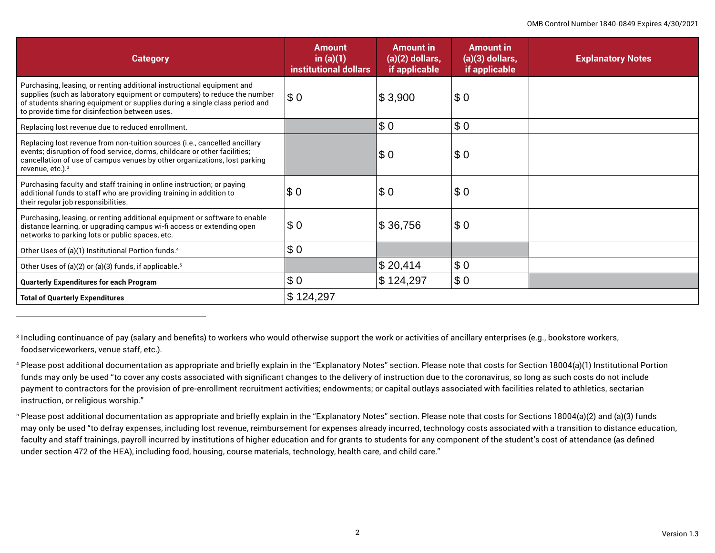| <b>Category</b>                                                                                                                                                                                                                                                                     | <b>Amount</b><br>in $(a)(1)$<br>institutional dollars | <b>Amount in</b><br>$(a)(2)$ dollars,<br>if applicable | <b>Amount in</b><br>$(a)(3)$ dollars,<br>if applicable | <b>Explanatory Notes</b> |
|-------------------------------------------------------------------------------------------------------------------------------------------------------------------------------------------------------------------------------------------------------------------------------------|-------------------------------------------------------|--------------------------------------------------------|--------------------------------------------------------|--------------------------|
| Purchasing, leasing, or renting additional instructional equipment and<br>supplies (such as laboratory equipment or computers) to reduce the number<br>of students sharing equipment or supplies during a single class period and<br>to provide time for disinfection between uses. | $\sqrt{5}0$                                           | \$3,900                                                | \$0                                                    |                          |
| Replacing lost revenue due to reduced enrollment.                                                                                                                                                                                                                                   |                                                       | \$0                                                    | \$0                                                    |                          |
| Replacing lost revenue from non-tuition sources (i.e., cancelled ancillary<br>events; disruption of food service, dorms, childcare or other facilities;<br>cancellation of use of campus venues by other organizations, lost parking<br>revenue, etc.). <sup>3</sup>                |                                                       | \$0                                                    | \$0                                                    |                          |
| Purchasing faculty and staff training in online instruction; or paying<br>additional funds to staff who are providing training in addition to<br>their regular job responsibilities.                                                                                                | \$ 0                                                  | \$ 0                                                   | \$0                                                    |                          |
| Purchasing, leasing, or renting additional equipment or software to enable<br>distance learning, or upgrading campus wi-fi access or extending open<br>networks to parking lots or public spaces, etc.                                                                              | \$0                                                   | \$ 36,756                                              | \$0                                                    |                          |
| Other Uses of (a)(1) Institutional Portion funds. <sup>4</sup>                                                                                                                                                                                                                      | \$0                                                   |                                                        |                                                        |                          |
| Other Uses of (a)(2) or (a)(3) funds, if applicable. <sup>5</sup>                                                                                                                                                                                                                   |                                                       | \$20,414                                               | \$0                                                    |                          |
| <b>Quarterly Expenditures for each Program</b>                                                                                                                                                                                                                                      | \$0                                                   | \$ 124,297                                             | \$0                                                    |                          |
| <b>Total of Quarterly Expenditures</b>                                                                                                                                                                                                                                              | \$124,297                                             |                                                        |                                                        |                          |

3 Including continuance of pay (salary and benefits) to workers who would otherwise support the work or activities of ancillary enterprises (e.g., bookstore workers, foodserviceworkers, venue staff, etc.).

4 Please post additional documentation as appropriate and briefly explain in the "Explanatory Notes" section. Please note that costs for Section 18004(a)(1) Institutional Portion funds may only be used "to cover any costs associated with significant changes to the delivery of instruction due to the coronavirus, so long as such costs do not include payment to contractors for the provision of pre-enrollment recruitment activities; endowments; or capital outlays associated with facilities related to athletics, sectarian instruction, or religious worship."

5 Please post additional documentation as appropriate and briefly explain in the "Explanatory Notes" section. Please note that costs for Sections 18004(a)(2) and (a)(3) funds may only be used "to defray expenses, including lost revenue, reimbursement for expenses already incurred, technology costs associated with a transition to distance education, faculty and staff trainings, payroll incurred by institutions of higher education and for grants to students for any component of the student's cost of attendance (as defined under section 472 of the HEA), including food, housing, course materials, technology, health care, and child care."